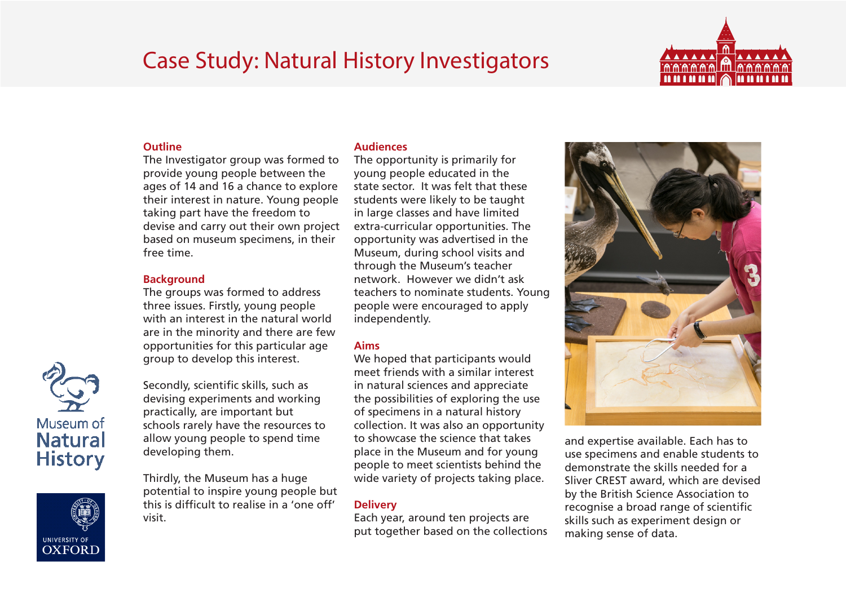# Case Study: Natural History Investigators



### **Outline**

The Investigator group was formed to provide young people between the ages of 14 and 16 a chance to explore their interest in nature. Young people taking part have the freedom to devise and carry out their own project based on museum specimens, in their free time.

### **Background**

The groups was formed to address three issues. Firstly, young people with an interest in the natural world are in the minority and there are few opportunities for this particular age group to develop this interest.

Secondly, scientific skills, such as devising experiments and working practically, are important but schools rarely have the resources to allow young people to spend time developing them.

Thirdly, the Museum has a huge potential to inspire young people but this is difficult to realise in a 'one off' visit.

#### **Audiences**

The opportunity is primarily for young people educated in the state sector. It was felt that these students were likely to be taught in large classes and have limited extra-curricular opportunities. The opportunity was advertised in the Museum, during school visits and through the Museum's teacher network. However we didn't ask teachers to nominate students. Young people were encouraged to apply independently.

# **Aims**

We hoped that participants would meet friends with a similar interest in natural sciences and appreciate the possibilities of exploring the use of specimens in a natural history collection. It was also an opportunity to showcase the science that takes place in the Museum and for young people to meet scientists behind the wide variety of projects taking place.

# **Delivery**

Each year, around ten projects are put together based on the collections



and expertise available. Each has to use specimens and enable students to demonstrate the skills needed for a Sliver CREST award, which are devised by the British Science Association to recognise a broad range of scientific skills such as experiment design or making sense of data.